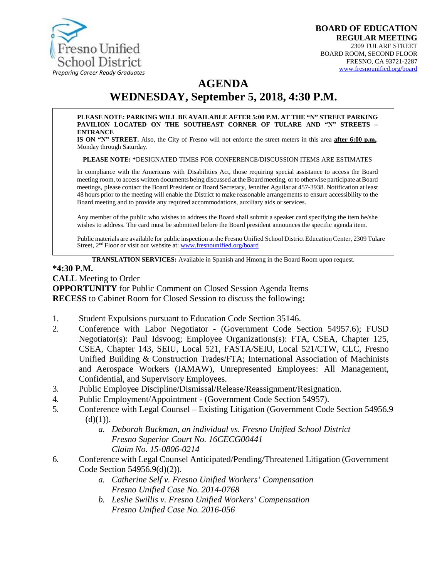

# **AGENDA**

# **WEDNESDAY, September 5, 2018, 4:30 P.M.**

#### **PLEASE NOTE: PARKING WILL BE AVAILABLE AFTER 5:00 P.M. AT THE "N" STREET PARKING PAVILION LOCATED ON THE SOUTHEAST CORNER OF TULARE AND "N" STREETS – ENTRANCE**

**IS ON "N" STREET.** Also, the City of Fresno will not enforce the street meters in this area **after 6:00 p.m.**, Monday through Saturday.

**PLEASE NOTE: \***DESIGNATED TIMES FOR CONFERENCE/DISCUSSION ITEMS ARE ESTIMATES

In compliance with the Americans with Disabilities Act, those requiring special assistance to access the Board meeting room, to access written documents being discussed at the Board meeting, or to otherwise participate at Board meetings, please contact the Board President or Board Secretary, Jennifer Aguilar at 457-3938. Notification at least 48 hours prior to the meeting will enable the District to make reasonable arrangements to ensure accessibility to the Board meeting and to provide any required accommodations, auxiliary aids orservices.

Any member of the public who wishes to address the Board shall submit a speaker card specifying the item he/she wishes to address. The card must be submitted before the Board president announces the specific agenda item.

Public materials are available for public inspection at the Fresno Unified School District Education Center, 2309 Tulare Street, 2nd Floor or visit our website at: [www.fresnounified.org/board](http://www.fresnounified.org/board)

**TRANSLATION SERVICES:** Available in Spanish and Hmong in the Board Room upon request.

#### **\*4:30 P.M.**

**CALL** Meeting to Order

**OPPORTUNITY** for Public Comment on Closed Session Agenda Items **RECESS** to Cabinet Room for Closed Session to discuss the following**:**

- 1. Student Expulsions pursuant to Education Code Section 35146.
- 2. Conference with Labor Negotiator (Government Code Section 54957.6); FUSD Negotiator(s): Paul Idsvoog; Employee Organizations(s): FTA, CSEA, Chapter 125, CSEA, Chapter 143, SEIU, Local 521, FASTA/SEIU, Local 521/CTW, CLC, Fresno Unified Building & Construction Trades/FTA; International Association of Machinists and Aerospace Workers (IAMAW), Unrepresented Employees: All Management, Confidential, and Supervisory Employees.
- 3. Public Employee Discipline/Dismissal/Release/Reassignment/Resignation.
- 4. Public Employment/Appointment (Government Code Section 54957).
- 5. Conference with Legal Counsel Existing Litigation (Government Code Section 54956.9  $(d)(1)$ ).
	- *a. Deborah Buckman, an individual vs. Fresno Unified School District Fresno Superior Court No. 16CECG00441 Claim No. 15-0806-0214*
- 6. Conference with Legal Counsel Anticipated/Pending/Threatened Litigation (Government Code Section 54956.9(d)(2)).
	- *a. Catherine Self v. Fresno Unified Workers' Compensation Fresno Unified Case No. 2014-0768*
	- *b. Leslie Swillis v. Fresno Unified Workers' Compensation Fresno Unified Case No. 2016-056*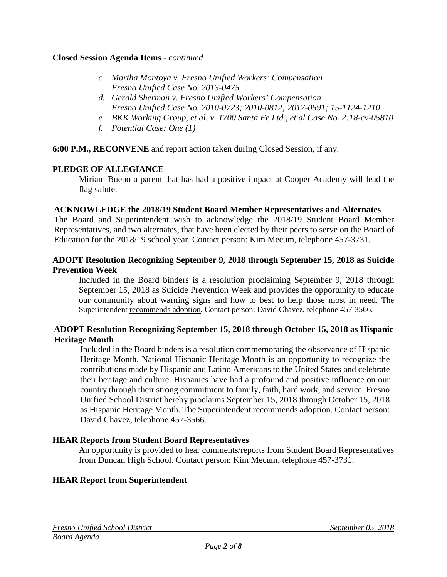#### **Closed Session Agenda Items** - *continued*

- *c. Martha Montoya v. Fresno Unified Workers' Compensation Fresno Unified Case No. 2013-0475*
- *d. Gerald Sherman v. Fresno Unified Workers' Compensation Fresno Unified Case No. 2010-0723; 2010-0812; 2017-0591; 15-1124-1210*
- *e. BKK Working Group, et al. v. 1700 Santa Fe Ltd., et al Case No. 2:18-cv-05810*
- *f. Potential Case: One (1)*

#### **6:00 P.M., RECONVENE** and report action taken during Closed Session, if any.

#### **PLEDGE OF ALLEGIANCE**

Miriam Bueno a parent that has had a positive impact at Cooper Academy will lead the flag salute.

#### **ACKNOWLEDGE the 2018/19 Student Board Member Representatives and Alternates**

The Board and Superintendent wish to acknowledge the 2018/19 Student Board Member Representatives, and two alternates, that have been elected by their peers to serve on the Board of Education for the 2018/19 school year. Contact person: Kim Mecum, telephone 457-3731.

#### **ADOPT Resolution Recognizing September 9, 2018 through September 15, 2018 as Suicide Prevention Week**

Included in the Board binders is a resolution proclaiming September 9, 2018 through September 15, 2018 as Suicide Prevention Week and provides the opportunity to educate our community about warning signs and how to best to help those most in need. The Superintendent recommends adoption. Contact person: David Chavez, telephone 457-3566.

#### **ADOPT Resolution Recognizing September 15, 2018 through October 15, 2018 as Hispanic Heritage Month**

Included in the Board binders is a resolution commemorating the observance of Hispanic Heritage Month. National Hispanic Heritage Month is an opportunity to recognize the contributions made by Hispanic and Latino Americans to the United States and celebrate their heritage and culture. Hispanics have had a profound and positive influence on our country through their strong commitment to family, faith, hard work, and service. Fresno Unified School District hereby proclaims September 15, 2018 through October 15, 2018 as Hispanic Heritage Month. The Superintendent recommends adoption. Contact person: David Chavez, telephone 457-3566.

#### **HEAR Reports from Student Board Representatives**

An opportunity is provided to hear comments/reports from Student Board Representatives from Duncan High School. Contact person: Kim Mecum, telephone 457-3731.

#### **HEAR Report from Superintendent**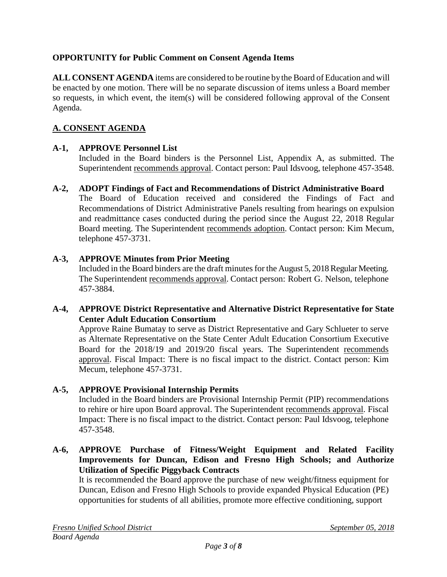# **OPPORTUNITY for Public Comment on Consent Agenda Items**

**ALL CONSENT AGENDA** items are considered to be routine bythe Board of Education and will be enacted by one motion. There will be no separate discussion of items unless a Board member so requests, in which event, the item(s) will be considered following approval of the Consent Agenda.

# **A. CONSENT AGENDA**

# **A-1, APPROVE Personnel List**

Included in the Board binders is the Personnel List, Appendix A, as submitted. The Superintendent recommends approval. Contact person: Paul Idsvoog, telephone 457-3548.

#### **A-2, ADOPT Findings of Fact and Recommendations of District Administrative Board**

The Board of Education received and considered the Findings of Fact and Recommendations of District Administrative Panels resulting from hearings on expulsion and readmittance cases conducted during the period since the August 22, 2018 Regular Board meeting. The Superintendent recommends adoption. Contact person: Kim Mecum, telephone 457-3731.

#### **A-3, APPROVE Minutes from Prior Meeting**

Included in the Board binders are the draft minutes for the August 5, 2018 Regular Meeting. The Superintendent recommends approval. Contact person: Robert G. Nelson, telephone 457-3884.

#### **A-4, APPROVE District Representative and Alternative District Representative for State Center Adult Education Consortium**

Approve Raine Bumatay to serve as District Representative and Gary Schlueter to serve as Alternate Representative on the State Center Adult Education Consortium Executive Board for the 2018/19 and 2019/20 fiscal years. The Superintendent recommends approval. Fiscal Impact: There is no fiscal impact to the district. Contact person: Kim Mecum, telephone 457-3731.

# **A-5, APPROVE Provisional Internship Permits**

Included in the Board binders are Provisional Internship Permit (PIP) recommendations to rehire or hire upon Board approval. The Superintendent recommends approval. Fiscal Impact: There is no fiscal impact to the district. Contact person: Paul Idsvoog, telephone 457-3548.

#### **A-6, APPROVE Purchase of Fitness/Weight Equipment and Related Facility Improvements for Duncan, Edison and Fresno High Schools; and Authorize Utilization of Specific Piggyback Contracts**

It is recommended the Board approve the purchase of new weight/fitness equipment for Duncan, Edison and Fresno High Schools to provide expanded Physical Education (PE) opportunities for students of all abilities, promote more effective conditioning, support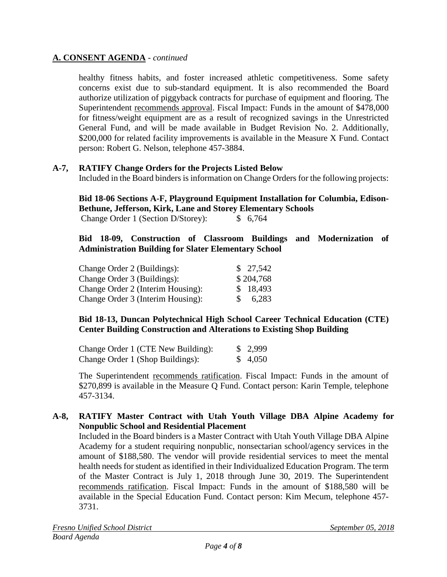### **A. CONSENT AGENDA** - *continued*

healthy fitness habits, and foster increased athletic competitiveness. Some safety concerns exist due to sub-standard equipment. It is also recommended the Board authorize utilization of piggyback contracts for purchase of equipment and flooring. The Superintendent recommends approval. Fiscal Impact: Funds in the amount of \$478,000 for fitness/weight equipment are as a result of recognized savings in the Unrestricted General Fund, and will be made available in Budget Revision No. 2. Additionally, \$200,000 for related facility improvements is available in the Measure X Fund. Contact person: Robert G. Nelson, telephone 457-3884.

#### **A-7, RATIFY Change Orders for the Projects Listed Below**

Included in the Board binders is information on Change Orders for the following projects:

**Bid 18-06 Sections A-F, Playground Equipment Installation for Columbia, Edison-Bethune, Jefferson, Kirk, Lane and Storey Elementary Schools** Change Order 1 (Section D/Storey): \$ 6,764

#### **Bid 18-09, Construction of Classroom Buildings and Modernization of Administration Building for Slater Elementary School**

| Change Order 2 (Buildings):       |    | \$27,542  |
|-----------------------------------|----|-----------|
| Change Order 3 (Buildings):       |    | \$204,768 |
| Change Order 2 (Interim Housing): |    | \$18,493  |
| Change Order 3 (Interim Housing): | S. | 6,283     |

#### **Bid 18-13, Duncan Polytechnical High School Career Technical Education (CTE) Center Building Construction and Alterations to Existing Shop Building**

| Change Order 1 (CTE New Building): | \$2,999 |
|------------------------------------|---------|
| Change Order 1 (Shop Buildings):   | \$4,050 |

The Superintendent recommends ratification. Fiscal Impact: Funds in the amount of \$270,899 is available in the Measure Q Fund. Contact person: Karin Temple, telephone 457-3134.

#### **A-8, RATIFY Master Contract with Utah Youth Village DBA Alpine Academy for Nonpublic School and Residential Placement**

Included in the Board binders is a Master Contract with Utah Youth Village DBA Alpine Academy for a student requiring nonpublic, nonsectarian school/agency services in the amount of \$188,580. The vendor will provide residential services to meet the mental health needs for student as identified in their Individualized Education Program. The term of the Master Contract is July 1, 2018 through June 30, 2019. The Superintendent recommends ratification. Fiscal Impact: Funds in the amount of \$188,580 will be available in the Special Education Fund. Contact person: Kim Mecum, telephone 457- 3731.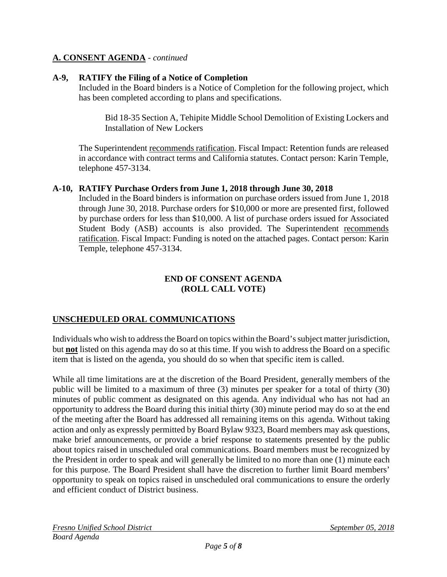### **A. CONSENT AGENDA** - *continued*

#### **A-9, RATIFY the Filing of a Notice of Completion**

Included in the Board binders is a Notice of Completion for the following project, which has been completed according to plans and specifications.

Bid 18-35 Section A, Tehipite Middle School Demolition of Existing Lockers and Installation of New Lockers

The Superintendent recommends ratification. Fiscal Impact: Retention funds are released in accordance with contract terms and California statutes. Contact person: Karin Temple, telephone 457-3134.

#### **A-10, RATIFY Purchase Orders from June 1, 2018 through June 30, 2018**

Included in the Board binders is information on purchase orders issued from June 1, 2018 through June 30, 2018. Purchase orders for \$10,000 or more are presented first, followed by purchase orders for less than \$10,000. A list of purchase orders issued for Associated Student Body (ASB) accounts is also provided. The Superintendent recommends ratification. Fiscal Impact: Funding is noted on the attached pages. Contact person: Karin Temple, telephone 457-3134.

#### **END OF CONSENT AGENDA (ROLL CALL VOTE)**

# **UNSCHEDULED ORAL COMMUNICATIONS**

Individuals who wish to address the Board on topics within the Board's subject matter jurisdiction, but **not** listed on this agenda may do so at this time. If you wish to address the Board on a specific item that is listed on the agenda, you should do so when that specific item is called.

While all time limitations are at the discretion of the Board President, generally members of the public will be limited to a maximum of three (3) minutes per speaker for a total of thirty (30) minutes of public comment as designated on this agenda. Any individual who has not had an opportunity to address the Board during this initial thirty (30) minute period may do so at the end of the meeting after the Board has addressed all remaining items on this agenda. Without taking action and only as expressly permitted by Board Bylaw 9323, Board members may ask questions, make brief announcements, or provide a brief response to statements presented by the public about topics raised in unscheduled oral communications. Board members must be recognized by the President in order to speak and will generally be limited to no more than one (1) minute each for this purpose. The Board President shall have the discretion to further limit Board members' opportunity to speak on topics raised in unscheduled oral communications to ensure the orderly and efficient conduct of District business.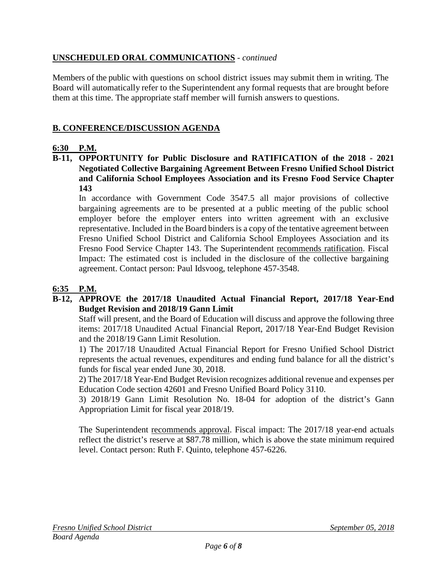# **UNSCHEDULED ORAL COMMUNICATIONS** - *continued*

Members of the public with questions on school district issues may submit them in writing. The Board will automatically refer to the Superintendent any formal requests that are brought before them at this time. The appropriate staff member will furnish answers to questions.

# **B. CONFERENCE/DISCUSSION AGENDA**

# **6:30 P.M.**

**B-11, OPPORTUNITY for Public Disclosure and RATIFICATION of the 2018 - 2021 Negotiated Collective Bargaining Agreement Between Fresno Unified School District and California School Employees Association and its Fresno Food Service Chapter 143**

In accordance with Government Code 3547.5 all major provisions of collective bargaining agreements are to be presented at a public meeting of the public school employer before the employer enters into written agreement with an exclusive representative. Included in the Board binders is a copy of the tentative agreement between Fresno Unified School District and California School Employees Association and its Fresno Food Service Chapter 143. The Superintendent recommends ratification. Fiscal Impact: The estimated cost is included in the disclosure of the collective bargaining agreement. Contact person: Paul Idsvoog, telephone 457-3548.

# **6:35 P.M.**

#### **B-12, APPROVE the 2017/18 Unaudited Actual Financial Report, 2017/18 Year-End Budget Revision and 2018/19 Gann Limit**

Staff will present, and the Board of Education will discuss and approve the following three items: 2017/18 Unaudited Actual Financial Report, 2017/18 Year-End Budget Revision and the 2018/19 Gann Limit Resolution.

1) The 2017/18 Unaudited Actual Financial Report for Fresno Unified School District represents the actual revenues, expenditures and ending fund balance for all the district's funds for fiscal year ended June 30, 2018.

2) The 2017/18 Year-End Budget Revision recognizes additional revenue and expenses per Education Code section 42601 and Fresno Unified Board Policy 3110.

3) 2018/19 Gann Limit Resolution No. 18-04 for adoption of the district's Gann Appropriation Limit for fiscal year 2018/19.

The Superintendent recommends approval. Fiscal impact: The 2017/18 year-end actuals reflect the district's reserve at \$87.78 million, which is above the state minimum required level. Contact person: Ruth F. Quinto, telephone 457-6226.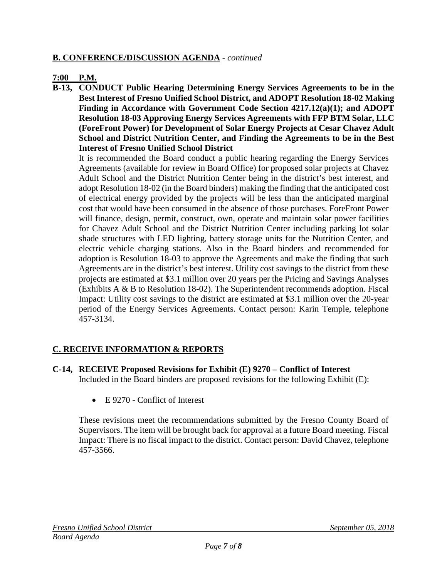### **B. CONFERENCE/DISCUSSION AGENDA** - *continued*

#### **7:00 P.M.**

**B-13, CONDUCT Public Hearing Determining Energy Services Agreements to be in the Best Interest of Fresno Unified School District, and ADOPT Resolution 18-02 Making Finding in Accordance with Government Code Section 4217.12(a)(1); and ADOPT Resolution 18-03 Approving Energy Services Agreements with FFP BTM Solar, LLC (ForeFront Power) for Development of Solar Energy Projects at Cesar Chavez Adult School and District Nutrition Center, and Finding the Agreements to be in the Best Interest of Fresno Unified School District**

It is recommended the Board conduct a public hearing regarding the Energy Services Agreements (available for review in Board Office) for proposed solar projects at Chavez Adult School and the District Nutrition Center being in the district's best interest, and adopt Resolution 18-02 (in the Board binders) making the finding that the anticipated cost of electrical energy provided by the projects will be less than the anticipated marginal cost that would have been consumed in the absence of those purchases. ForeFront Power will finance, design, permit, construct, own, operate and maintain solar power facilities for Chavez Adult School and the District Nutrition Center including parking lot solar shade structures with LED lighting, battery storage units for the Nutrition Center, and electric vehicle charging stations. Also in the Board binders and recommended for adoption is Resolution 18-03 to approve the Agreements and make the finding that such Agreements are in the district's best interest. Utility cost savings to the district from these projects are estimated at \$3.1 million over 20 years per the Pricing and Savings Analyses (Exhibits A & B to Resolution 18-02). The Superintendent recommends adoption. Fiscal Impact: Utility cost savings to the district are estimated at \$3.1 million over the 20-year period of the Energy Services Agreements. Contact person: Karin Temple, telephone 457-3134.

# **C. RECEIVE INFORMATION & REPORTS**

**C-14, RECEIVE Proposed Revisions for Exhibit (E) 9270 – Conflict of Interest**

Included in the Board binders are proposed revisions for the following Exhibit (E):

• E 9270 - Conflict of Interest

These revisions meet the recommendations submitted by the Fresno County Board of Supervisors. The item will be brought back for approval at a future Board meeting. Fiscal Impact: There is no fiscal impact to the district. Contact person: David Chavez, telephone 457-3566.